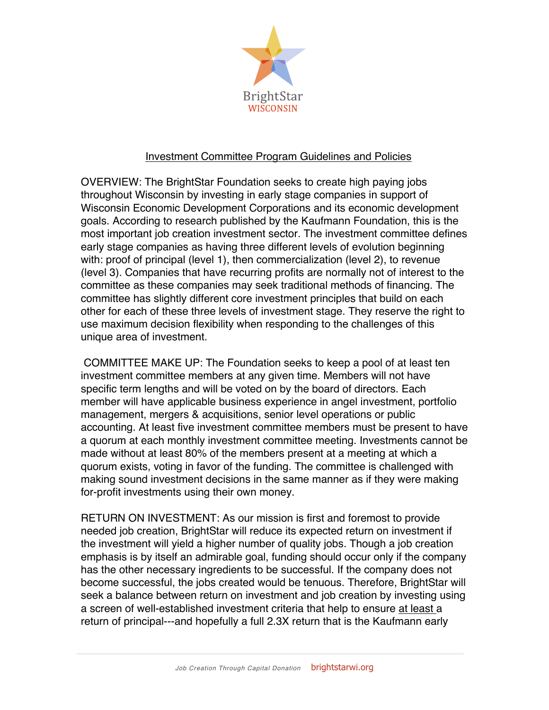

## Investment Committee Program Guidelines and Policies

OVERVIEW: The BrightStar Foundation seeks to create high paying jobs throughout Wisconsin by investing in early stage companies in support of Wisconsin Economic Development Corporations and its economic development goals. According to research published by the Kaufmann Foundation, this is the most important job creation investment sector. The investment committee defines early stage companies as having three different levels of evolution beginning with: proof of principal (level 1), then commercialization (level 2), to revenue (level 3). Companies that have recurring profits are normally not of interest to the committee as these companies may seek traditional methods of financing. The committee has slightly different core investment principles that build on each other for each of these three levels of investment stage. They reserve the right to use maximum decision flexibility when responding to the challenges of this unique area of investment.

COMMITTEE MAKE UP: The Foundation seeks to keep a pool of at least ten investment committee members at any given time. Members will not have specific term lengths and will be voted on by the board of directors. Each member will have applicable business experience in angel investment, portfolio management, mergers & acquisitions, senior level operations or public accounting. At least five investment committee members must be present to have a quorum at each monthly investment committee meeting. Investments cannot be made without at least 80% of the members present at a meeting at which a quorum exists, voting in favor of the funding. The committee is challenged with making sound investment decisions in the same manner as if they were making for-profit investments using their own money.

RETURN ON INVESTMENT: As our mission is first and foremost to provide needed job creation, BrightStar will reduce its expected return on investment if the investment will yield a higher number of quality jobs. Though a job creation emphasis is by itself an admirable goal, funding should occur only if the company has the other necessary ingredients to be successful. If the company does not become successful, the jobs created would be tenuous. Therefore, BrightStar will seek a balance between return on investment and job creation by investing using a screen of well-established investment criteria that help to ensure at least a return of principal---and hopefully a full 2.3X return that is the Kaufmann early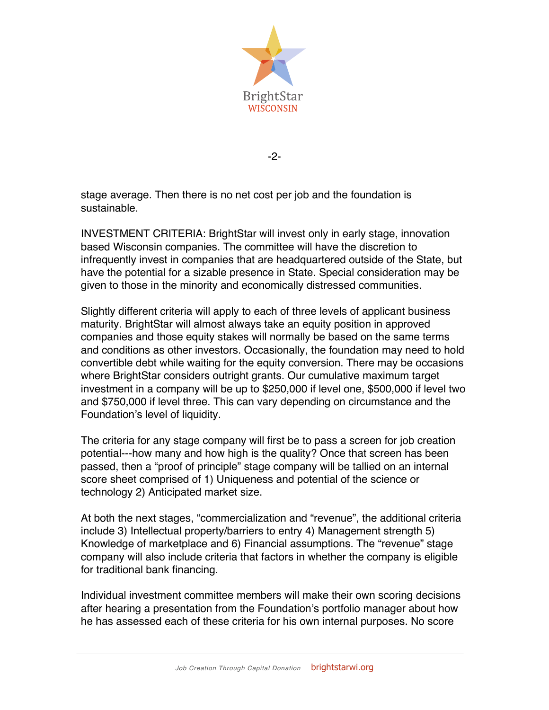

-2-

stage average. Then there is no net cost per job and the foundation is sustainable.

INVESTMENT CRITERIA: BrightStar will invest only in early stage, innovation based Wisconsin companies. The committee will have the discretion to infrequently invest in companies that are headquartered outside of the State, but have the potential for a sizable presence in State. Special consideration may be given to those in the minority and economically distressed communities.

Slightly different criteria will apply to each of three levels of applicant business maturity. BrightStar will almost always take an equity position in approved companies and those equity stakes will normally be based on the same terms and conditions as other investors. Occasionally, the foundation may need to hold convertible debt while waiting for the equity conversion. There may be occasions where BrightStar considers outright grants. Our cumulative maximum target investment in a company will be up to \$250,000 if level one, \$500,000 if level two and \$750,000 if level three. This can vary depending on circumstance and the Foundation's level of liquidity.

The criteria for any stage company will first be to pass a screen for job creation potential---how many and how high is the quality? Once that screen has been passed, then a "proof of principle" stage company will be tallied on an internal score sheet comprised of 1) Uniqueness and potential of the science or technology 2) Anticipated market size.

At both the next stages, "commercialization and "revenue", the additional criteria include 3) Intellectual property/barriers to entry 4) Management strength 5) Knowledge of marketplace and 6) Financial assumptions. The "revenue" stage company will also include criteria that factors in whether the company is eligible for traditional bank financing.

Individual investment committee members will make their own scoring decisions after hearing a presentation from the Foundation's portfolio manager about how he has assessed each of these criteria for his own internal purposes. No score